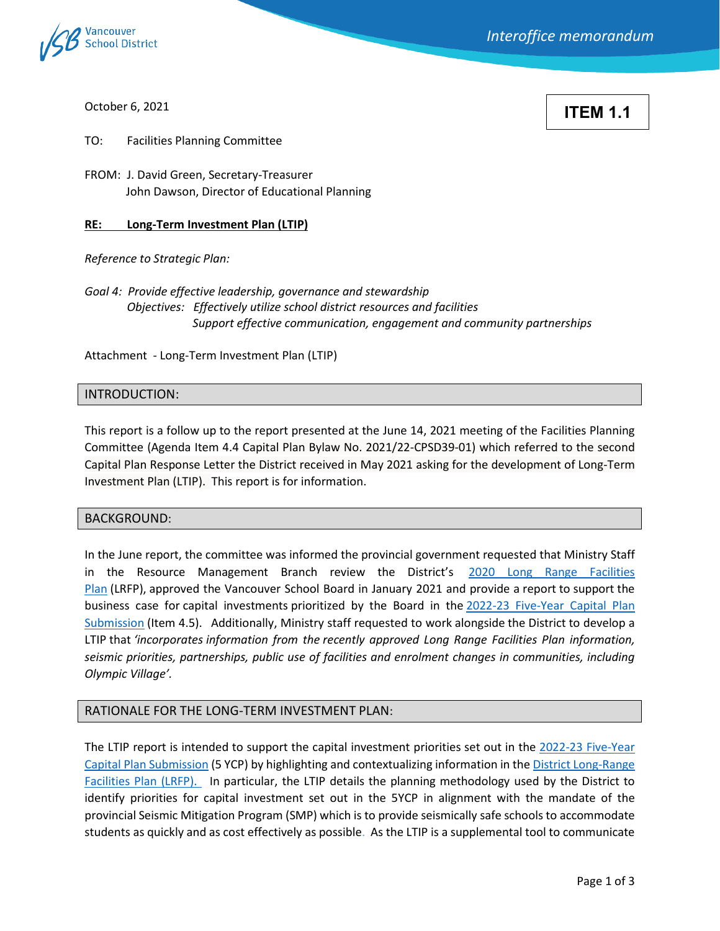

October 6, 2021

**ITEM 1.1**

TO: Facilities Planning Committee

FROM: J. David Green, Secretary-Treasurer John Dawson, Director of Educational Planning

## **RE: Long-Term Investment Plan (LTIP)**

*Reference to Strategic Plan:* 

*Goal 4: Provide effective leadership, governance and stewardship Objectives: Effectively utilize school district resources and facilities Support effective communication, engagement and community partnerships*

Attachment - Long-Term Investment Plan (LTIP)

## INTRODUCTION:

This report is a follow up to the report presented at the June 14, 2021 meeting of the Facilities Planning Committee (Agenda Item 4.4 Capital Plan Bylaw No. 2021/22-CPSD39-01) which referred to the second Capital Plan Response Letter the District received in May 2021 asking for the development of Long-Term Investment Plan (LTIP). This report is for information.

#### BACKGROUND:

In the June report, the committee was informed the provincial government requested that Ministry Staff in the Resource Management Branch review the District's [2020 Long Range Facilities](https://www.vsb.bc.ca/District/Planning_and_Facilities/Long_Range_Facilities_Plan/Documents/21_02Feb02_LRFP%20for%20website%20-%20Board%20Approved.pdf)  [Plan](https://www.vsb.bc.ca/District/Planning_and_Facilities/Long_Range_Facilities_Plan/Documents/21_02Feb02_LRFP%20for%20website%20-%20Board%20Approved.pdf) (LRFP), approved the Vancouver School Board in January 2021 and provide a report to support the business case for capital investments prioritized by the Board in the [2022-23 Five-Year Capital Plan](https://www.vsb.bc.ca/District/Board-of-Education/Meeting_Minutes/Documents/agendas-files/21_06Jun14_Facilities%20Planning_agenda.pdf)  [Submission](https://www.vsb.bc.ca/District/Board-of-Education/Meeting_Minutes/Documents/agendas-files/21_06Jun14_Facilities%20Planning_agenda.pdf) (Item 4.5). Additionally, Ministry staff requested to work alongside the District to develop a LTIP that *'incorporates information from the recently approved Long Range Facilities Plan information, seismic priorities, partnerships, public use of facilities and enrolment changes in communities, including Olympic Village'.*

# RATIONALE FOR THE LONG-TERM INVESTMENT PLAN:

The LTIP report is intended to support the capital investment priorities set out in the [2022-23 Five-Year](https://www.vsb.bc.ca/District/Board-of-Education/Meeting_Minutes/Documents/agendas-files/21_06Jun14_Facilities%20Planning_agenda.pdf)  [Capital Plan Submission](https://www.vsb.bc.ca/District/Board-of-Education/Meeting_Minutes/Documents/agendas-files/21_06Jun14_Facilities%20Planning_agenda.pdf) (5 YCP) by highlighting and contextualizing information in th[e District Long-Range](https://www.vsb.bc.ca/District/Planning_and_Facilities/Long_Range_Facilities_Plan/Pages/Current-LRFP.aspx)  [Facilities Plan \(LRFP\).](https://www.vsb.bc.ca/District/Planning_and_Facilities/Long_Range_Facilities_Plan/Pages/Current-LRFP.aspx) In particular, the LTIP details the planning methodology used by the District to identify priorities for capital investment set out in the 5YCP in alignment with the mandate of the provincial Seismic Mitigation Program (SMP) which is to provide seismically safe schools to accommodate students as quickly and as cost effectively as possible. As the LTIP is a supplemental tool to communicate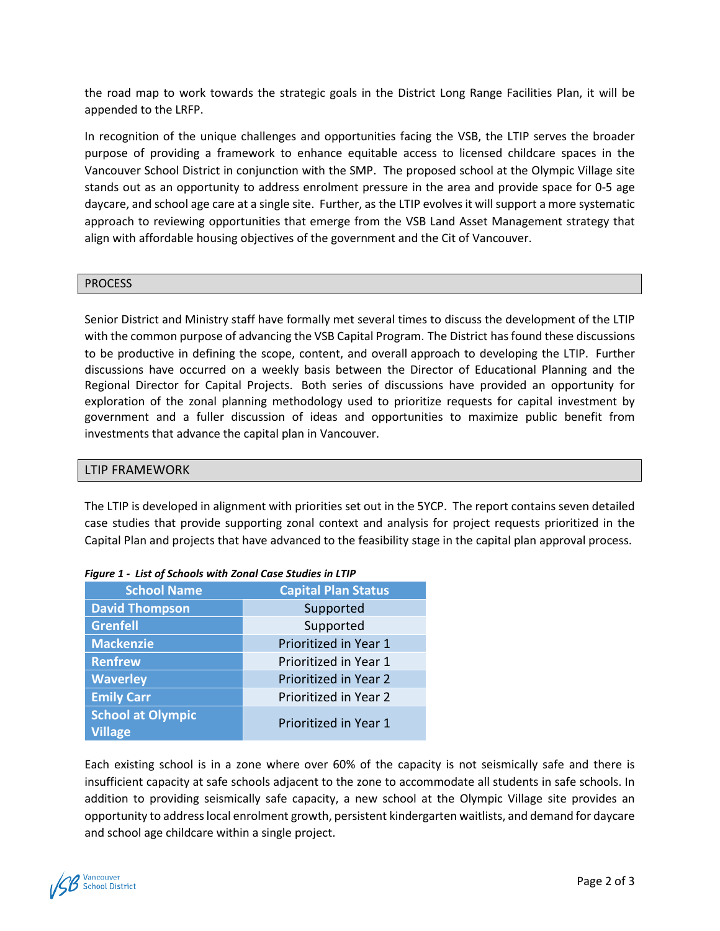the road map to work towards the strategic goals in the District Long Range Facilities Plan, it will be appended to the LRFP.

In recognition of the unique challenges and opportunities facing the VSB, the LTIP serves the broader purpose of providing a framework to enhance equitable access to licensed childcare spaces in the Vancouver School District in conjunction with the SMP. The proposed school at the Olympic Village site stands out as an opportunity to address enrolment pressure in the area and provide space for 0-5 age daycare, and school age care at a single site. Further, as the LTIP evolves it will support a more systematic approach to reviewing opportunities that emerge from the VSB Land Asset Management strategy that align with affordable housing objectives of the government and the Cit of Vancouver.

# PROCESS

Senior District and Ministry staff have formally met several times to discuss the development of the LTIP with the common purpose of advancing the VSB Capital Program. The District has found these discussions to be productive in defining the scope, content, and overall approach to developing the LTIP. Further discussions have occurred on a weekly basis between the Director of Educational Planning and the Regional Director for Capital Projects. Both series of discussions have provided an opportunity for exploration of the zonal planning methodology used to prioritize requests for capital investment by government and a fuller discussion of ideas and opportunities to maximize public benefit from investments that advance the capital plan in Vancouver.

# LTIP FRAMEWORK

The LTIP is developed in alignment with priorities set out in the 5YCP. The report contains seven detailed case studies that provide supporting zonal context and analysis for project requests prioritized in the Capital Plan and projects that have advanced to the feasibility stage in the capital plan approval process.

| <b>School Name</b>                         | <b>Capital Plan Status</b> |
|--------------------------------------------|----------------------------|
| <b>David Thompson</b>                      | Supported                  |
| <b>Grenfell</b>                            | Supported                  |
| <b>Mackenzie</b>                           | Prioritized in Year 1      |
| <b>Renfrew</b>                             | Prioritized in Year 1      |
| <b>Waverley</b>                            | Prioritized in Year 2      |
| <b>Emily Carr</b>                          | Prioritized in Year 2      |
| <b>School at Olympic</b><br><b>Village</b> | Prioritized in Year 1      |

| Figure 1 - List of Schools with Zonal Case Studies in LTIP |
|------------------------------------------------------------|
|------------------------------------------------------------|

Each existing school is in a zone where over 60% of the capacity is not seismically safe and there is insufficient capacity at safe schools adjacent to the zone to accommodate all students in safe schools. In addition to providing seismically safe capacity, a new school at the Olympic Village site provides an opportunity to address local enrolment growth, persistent kindergarten waitlists, and demand for daycare and school age childcare within a single project.